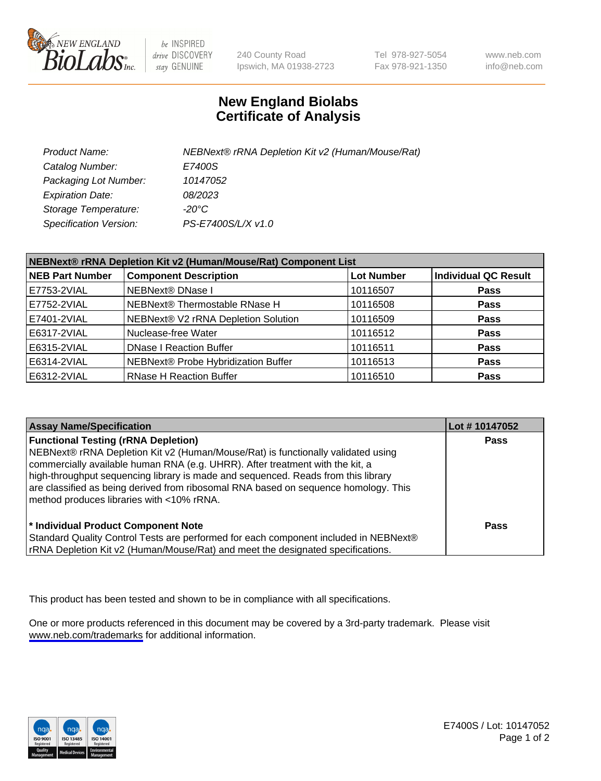

be INSPIRED drive DISCOVERY stay GENUINE

240 County Road Ipswich, MA 01938-2723 Tel 978-927-5054 Fax 978-921-1350

www.neb.com info@neb.com

## **New England Biolabs Certificate of Analysis**

| Product Name:                 | NEBNext® rRNA Depletion Kit v2 (Human/Mouse/Rat) |
|-------------------------------|--------------------------------------------------|
| Catalog Number:               | E7400S                                           |
| Packaging Lot Number:         | 10147052                                         |
| <b>Expiration Date:</b>       | 08/2023                                          |
| Storage Temperature:          | -20°C                                            |
| <b>Specification Version:</b> | PS-E7400S/L/X v1.0                               |

| NEBNext® rRNA Depletion Kit v2 (Human/Mouse/Rat) Component List |                                     |                   |                             |  |
|-----------------------------------------------------------------|-------------------------------------|-------------------|-----------------------------|--|
| <b>NEB Part Number</b>                                          | <b>Component Description</b>        | <b>Lot Number</b> | <b>Individual QC Result</b> |  |
| E7753-2VIAL                                                     | NEBNext® DNase I                    | 10116507          | <b>Pass</b>                 |  |
| E7752-2VIAL                                                     | NEBNext® Thermostable RNase H       | 10116508          | <b>Pass</b>                 |  |
| E7401-2VIAL                                                     | NEBNext® V2 rRNA Depletion Solution | 10116509          | <b>Pass</b>                 |  |
| E6317-2VIAL                                                     | Nuclease-free Water                 | 10116512          | <b>Pass</b>                 |  |
| E6315-2VIAL                                                     | <b>DNase I Reaction Buffer</b>      | 10116511          | <b>Pass</b>                 |  |
| E6314-2VIAL                                                     | NEBNext® Probe Hybridization Buffer | 10116513          | <b>Pass</b>                 |  |
| E6312-2VIAL                                                     | <b>RNase H Reaction Buffer</b>      | 10116510          | <b>Pass</b>                 |  |

| <b>Assay Name/Specification</b>                                                                                                                                                                                                                                                                                                                                                                                                          | Lot #10147052 |
|------------------------------------------------------------------------------------------------------------------------------------------------------------------------------------------------------------------------------------------------------------------------------------------------------------------------------------------------------------------------------------------------------------------------------------------|---------------|
| <b>Functional Testing (rRNA Depletion)</b><br>NEBNext® rRNA Depletion Kit v2 (Human/Mouse/Rat) is functionally validated using<br>commercially available human RNA (e.g. UHRR). After treatment with the kit, a<br>high-throughput sequencing library is made and sequenced. Reads from this library<br>are classified as being derived from ribosomal RNA based on sequence homology. This<br>method produces libraries with <10% rRNA. | <b>Pass</b>   |
| * Individual Product Component Note<br>Standard Quality Control Tests are performed for each component included in NEBNext®<br>rRNA Depletion Kit v2 (Human/Mouse/Rat) and meet the designated specifications.                                                                                                                                                                                                                           | Pass          |

This product has been tested and shown to be in compliance with all specifications.

One or more products referenced in this document may be covered by a 3rd-party trademark. Please visit <www.neb.com/trademarks>for additional information.